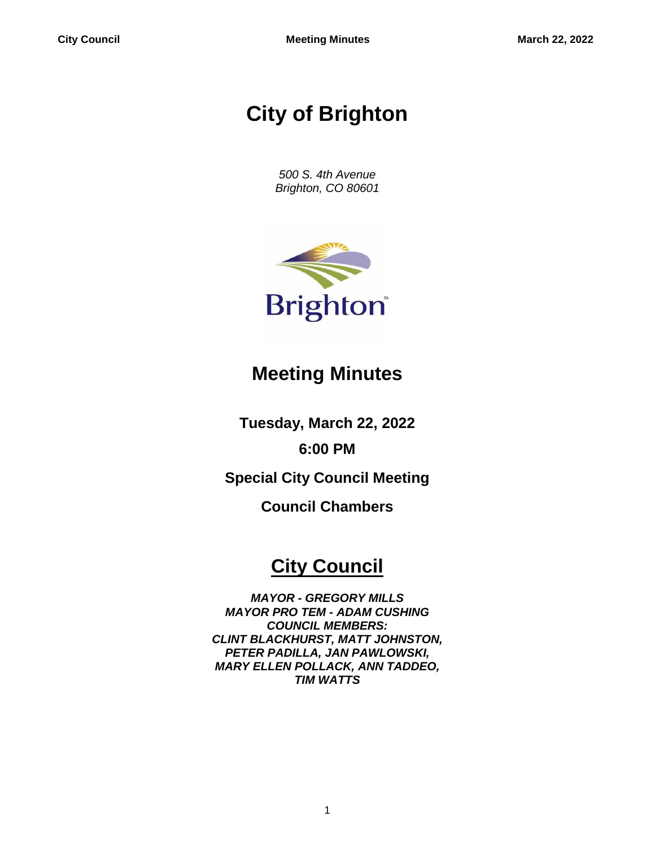# **City of Brighton**

*500 S. 4th Avenue Brighton, CO 80601*



## **Meeting Minutes**

**Tuesday, March 22, 2022**

**6:00 PM**

**Special City Council Meeting**

**Council Chambers**

## **City Council**

*MAYOR - GREGORY MILLS MAYOR PRO TEM - ADAM CUSHING COUNCIL MEMBERS: CLINT BLACKHURST, MATT JOHNSTON, PETER PADILLA, JAN PAWLOWSKI, MARY ELLEN POLLACK, ANN TADDEO, TIM WATTS*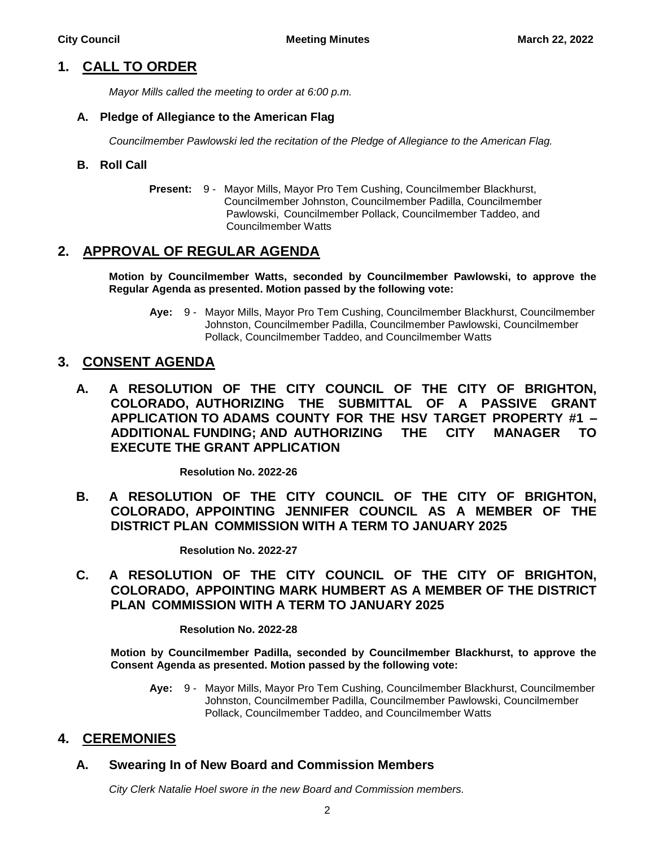## **1. CALL TO ORDER**

*Mayor Mills called the meeting to order at 6:00 p.m.*

#### **A. Pledge of Allegiance to the American Flag**

*Councilmember Pawlowski led the recitation of the Pledge of Allegiance to the American Flag.*

#### **B. Roll Call**

**Present:** 9 - Mayor Mills, Mayor Pro Tem Cushing, Councilmember Blackhurst, Councilmember Johnston, Councilmember Padilla, Councilmember Pawlowski, Councilmember Pollack, Councilmember Taddeo, and Councilmember Watts

## **2. APPROVAL OF REGULAR AGENDA**

**Motion by Councilmember Watts, seconded by Councilmember Pawlowski, to approve the Regular Agenda as presented. Motion passed by the following vote:**

**Aye:** 9 - Mayor Mills, Mayor Pro Tem Cushing, Councilmember Blackhurst, Councilmember Johnston, Councilmember Padilla, Councilmember Pawlowski, Councilmember Pollack, Councilmember Taddeo, and Councilmember Watts

## **3. CONSENT AGENDA**

**A. A RESOLUTION OF THE CITY COUNCIL OF THE CITY OF BRIGHTON, COLORADO, AUTHORIZING THE SUBMITTAL OF A PASSIVE GRANT APPLICATION TO ADAMS COUNTY FOR THE HSV TARGET PROPERTY #1 – ADDITIONAL FUNDING; AND AUTHORIZING THE CITY MANAGER TO EXECUTE THE GRANT APPLICATION**

**Resolution No. 2022-26**

**B. A RESOLUTION OF THE CITY COUNCIL OF THE CITY OF BRIGHTON, COLORADO, APPOINTING JENNIFER COUNCIL AS A MEMBER OF THE DISTRICT PLAN COMMISSION WITH A TERM TO JANUARY 2025**

**Resolution No. 2022-27**

**C. A RESOLUTION OF THE CITY COUNCIL OF THE CITY OF BRIGHTON, COLORADO, APPOINTING MARK HUMBERT AS A MEMBER OF THE DISTRICT PLAN COMMISSION WITH A TERM TO JANUARY 2025**

#### **Resolution No. 2022-28**

**Motion by Councilmember Padilla, seconded by Councilmember Blackhurst, to approve the Consent Agenda as presented. Motion passed by the following vote:**

**Aye:** 9 - Mayor Mills, Mayor Pro Tem Cushing, Councilmember Blackhurst, Councilmember Johnston, Councilmember Padilla, Councilmember Pawlowski, Councilmember Pollack, Councilmember Taddeo, and Councilmember Watts

#### **4. CEREMONIES**

#### **A. Swearing In of New Board and Commission Members**

*City Clerk Natalie Hoel swore in the new Board and Commission members.*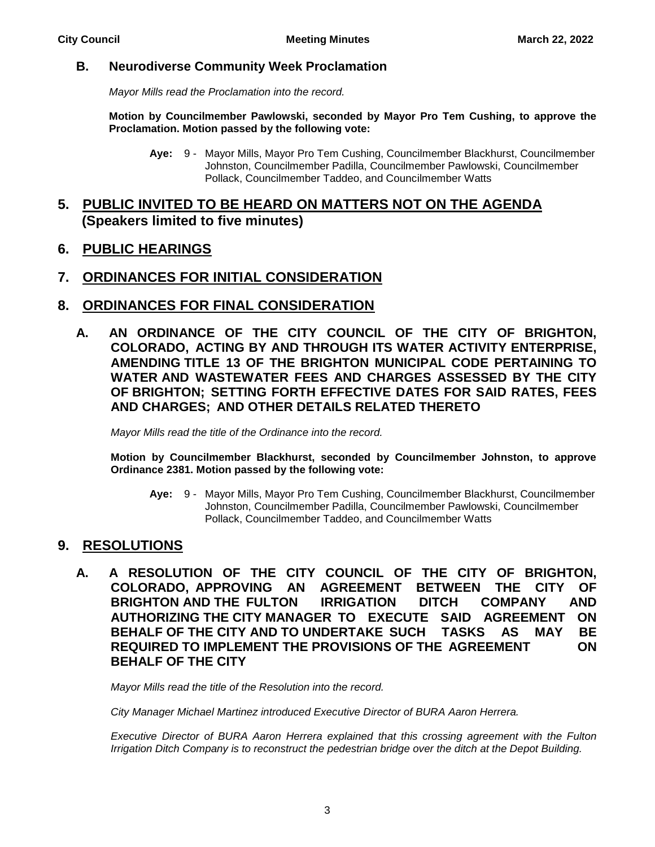#### **B. Neurodiverse Community Week Proclamation**

*Mayor Mills read the Proclamation into the record.*

**Motion by Councilmember Pawlowski, seconded by Mayor Pro Tem Cushing, to approve the Proclamation. Motion passed by the following vote:**

- **Aye:** 9 Mayor Mills, Mayor Pro Tem Cushing, Councilmember Blackhurst, Councilmember Johnston, Councilmember Padilla, Councilmember Pawlowski, Councilmember Pollack, Councilmember Taddeo, and Councilmember Watts
- **5. PUBLIC INVITED TO BE HEARD ON MATTERS NOT ON THE AGENDA (Speakers limited to five minutes)**
- **6. PUBLIC HEARINGS**

## **7. ORDINANCES FOR INITIAL CONSIDERATION**

- **8. ORDINANCES FOR FINAL CONSIDERATION**
	- **A. AN ORDINANCE OF THE CITY COUNCIL OF THE CITY OF BRIGHTON, COLORADO, ACTING BY AND THROUGH ITS WATER ACTIVITY ENTERPRISE, AMENDING TITLE 13 OF THE BRIGHTON MUNICIPAL CODE PERTAINING TO WATER AND WASTEWATER FEES AND CHARGES ASSESSED BY THE CITY OF BRIGHTON; SETTING FORTH EFFECTIVE DATES FOR SAID RATES, FEES AND CHARGES; AND OTHER DETAILS RELATED THERETO**

*Mayor Mills read the title of the Ordinance into the record.*

**Motion by Councilmember Blackhurst, seconded by Councilmember Johnston, to approve Ordinance 2381. Motion passed by the following vote:**

**Aye:** 9 - Mayor Mills, Mayor Pro Tem Cushing, Councilmember Blackhurst, Councilmember Johnston, Councilmember Padilla, Councilmember Pawlowski, Councilmember Pollack, Councilmember Taddeo, and Councilmember Watts

## **9. RESOLUTIONS**

**A. A RESOLUTION OF THE CITY COUNCIL OF THE CITY OF BRIGHTON, COLORADO, APPROVING AN AGREEMENT BETWEEN THE CITY OF BRIGHTON AND THE FULTON IRRIGATION DITCH COMPANY AND AUTHORIZING THE CITY MANAGER TO EXECUTE SAID AGREEMENT ON BEHALF OF THE CITY AND TO UNDERTAKE SUCH TASKS AS MAY BE REQUIRED TO IMPLEMENT THE PROVISIONS OF THE AGREEMENT ON BEHALF OF THE CITY**

*Mayor Mills read the title of the Resolution into the record.*

*City Manager Michael Martinez introduced Executive Director of BURA Aaron Herrera.*

*Executive Director of BURA Aaron Herrera explained that this crossing agreement with the Fulton Irrigation Ditch Company is to reconstruct the pedestrian bridge over the ditch at the Depot Building.*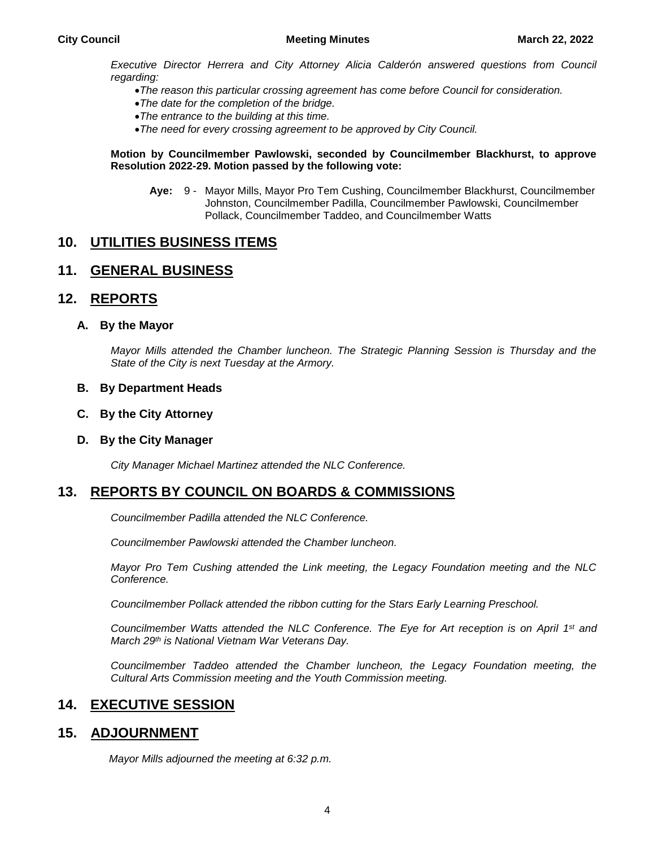*Executive Director Herrera and City Attorney Alicia Calderón answered questions from Council regarding:*

- *The reason this particular crossing agreement has come before Council for consideration.*
- *The date for the completion of the bridge.*
- *The entrance to the building at this time.*
- *The need for every crossing agreement to be approved by City Council.*

#### **Motion by Councilmember Pawlowski, seconded by Councilmember Blackhurst, to approve Resolution 2022-29. Motion passed by the following vote:**

**Aye:** 9 - Mayor Mills, Mayor Pro Tem Cushing, Councilmember Blackhurst, Councilmember Johnston, Councilmember Padilla, Councilmember Pawlowski, Councilmember Pollack, Councilmember Taddeo, and Councilmember Watts

## **10. UTILITIES BUSINESS ITEMS**

## **11. GENERAL BUSINESS**

## **12. REPORTS**

#### **A. By the Mayor**

*Mayor Mills attended the Chamber luncheon. The Strategic Planning Session is Thursday and the State of the City is next Tuesday at the Armory.*

#### **B. By Department Heads**

**C. By the City Attorney**

#### **D. By the City Manager**

*City Manager Michael Martinez attended the NLC Conference.*

#### **13. REPORTS BY COUNCIL ON BOARDS & COMMISSIONS**

*Councilmember Padilla attended the NLC Conference.*

*Councilmember Pawlowski attended the Chamber luncheon.*

*Mayor Pro Tem Cushing attended the Link meeting, the Legacy Foundation meeting and the NLC Conference.*

*Councilmember Pollack attended the ribbon cutting for the Stars Early Learning Preschool.*

*Councilmember Watts attended the NLC Conference. The Eye for Art reception is on April 1st and March 29th is National Vietnam War Veterans Day.*

*Councilmember Taddeo attended the Chamber luncheon, the Legacy Foundation meeting, the Cultural Arts Commission meeting and the Youth Commission meeting.*

#### **14. EXECUTIVE SESSION**

#### **15. ADJOURNMENT**

*Mayor Mills adjourned the meeting at 6:32 p.m.*